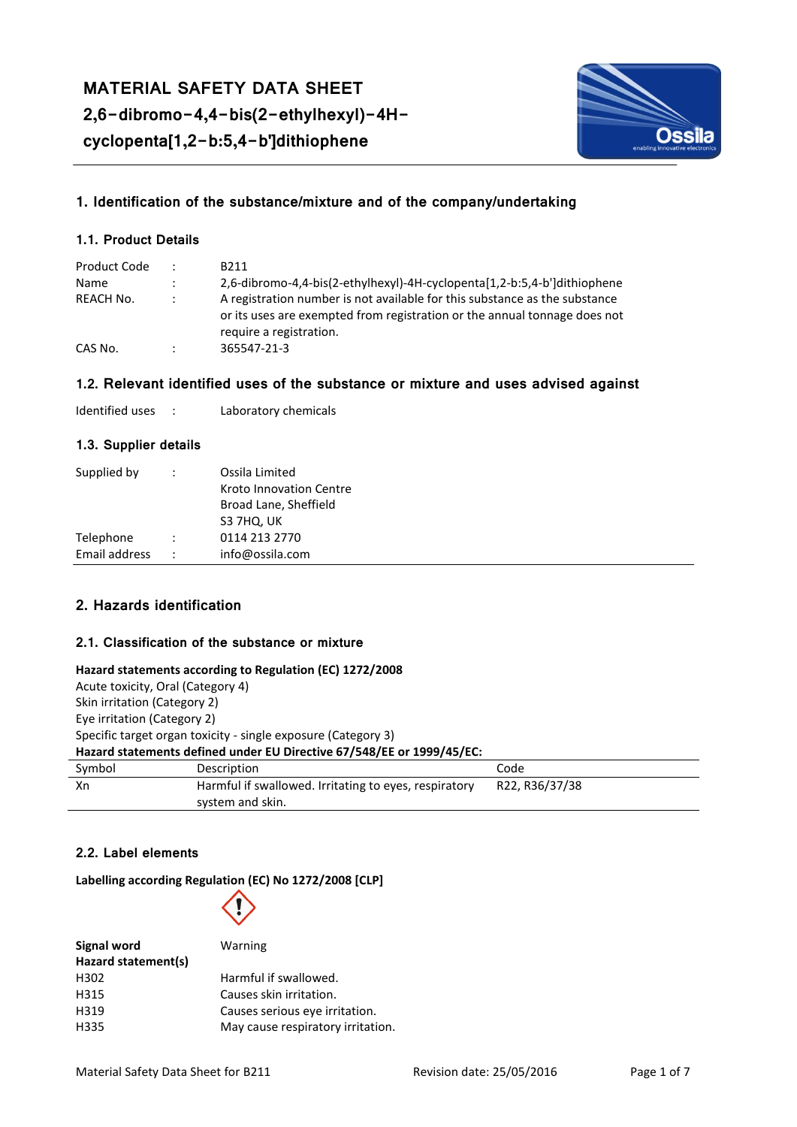

# **1. Identification of the substance/mixture and of the company/undertaking**

# **1.1. Product Details**

| Product Code | ٠ | B <sub>211</sub>                                                                                                                                                                   |
|--------------|---|------------------------------------------------------------------------------------------------------------------------------------------------------------------------------------|
| Name         | ÷ | 2.6-dibromo-4.4-bis(2-ethylhexyl)-4H-cyclopenta[1,2-b:5,4-b']dithiophene                                                                                                           |
| REACH No.    |   | A registration number is not available for this substance as the substance<br>or its uses are exempted from registration or the annual tonnage does not<br>require a registration. |
| CAS No.      | ٠ | 365547-21-3                                                                                                                                                                        |

# **1.2. Relevant identified uses of the substance or mixture and uses advised against**

| Identified uses |  | Laboratory chemicals |
|-----------------|--|----------------------|
|-----------------|--|----------------------|

# **1.3. Supplier details**

| Supplied by   | $\ddot{\phantom{0}}$ | Ossila Limited                 |
|---------------|----------------------|--------------------------------|
|               |                      | <b>Kroto Innovation Centre</b> |
|               |                      | Broad Lane, Sheffield          |
|               |                      | <b>S3 7HQ, UK</b>              |
| Telephone     | $\ddot{\phantom{a}}$ | 0114 213 2770                  |
| Email address | $\ddot{\phantom{a}}$ | info@ossila.com                |

# **2. Hazards identification**

# **2.1. Classification of the substance or mixture**

## **Hazard statements according to Regulation (EC) 1272/2008**

Acute toxicity, Oral (Category 4) Skin irritation (Category 2) Eye irritation (Category 2) Specific target organ toxicity - single exposure (Category 3) **Hazard statements defined under EU Directive 67/548/EE or 1999/45/EC:** Symbol Description Code

| <b>JyHIDUI</b> | DESCRIPTION                                           | couc           |
|----------------|-------------------------------------------------------|----------------|
| - Xn           | Harmful if swallowed. Irritating to eyes, respiratory | R22, R36/37/38 |
|                | system and skin.                                      |                |
|                |                                                       |                |

# **2.2. Label elements**

**Labelling according Regulation (EC) No 1272/2008 [CLP]**



| Signal word<br>Hazard statement(s) | Warning                           |
|------------------------------------|-----------------------------------|
| H302                               | Harmful if swallowed.             |
| H315                               | Causes skin irritation.           |
| H319                               | Causes serious eye irritation.    |
| H335                               | May cause respiratory irritation. |
|                                    |                                   |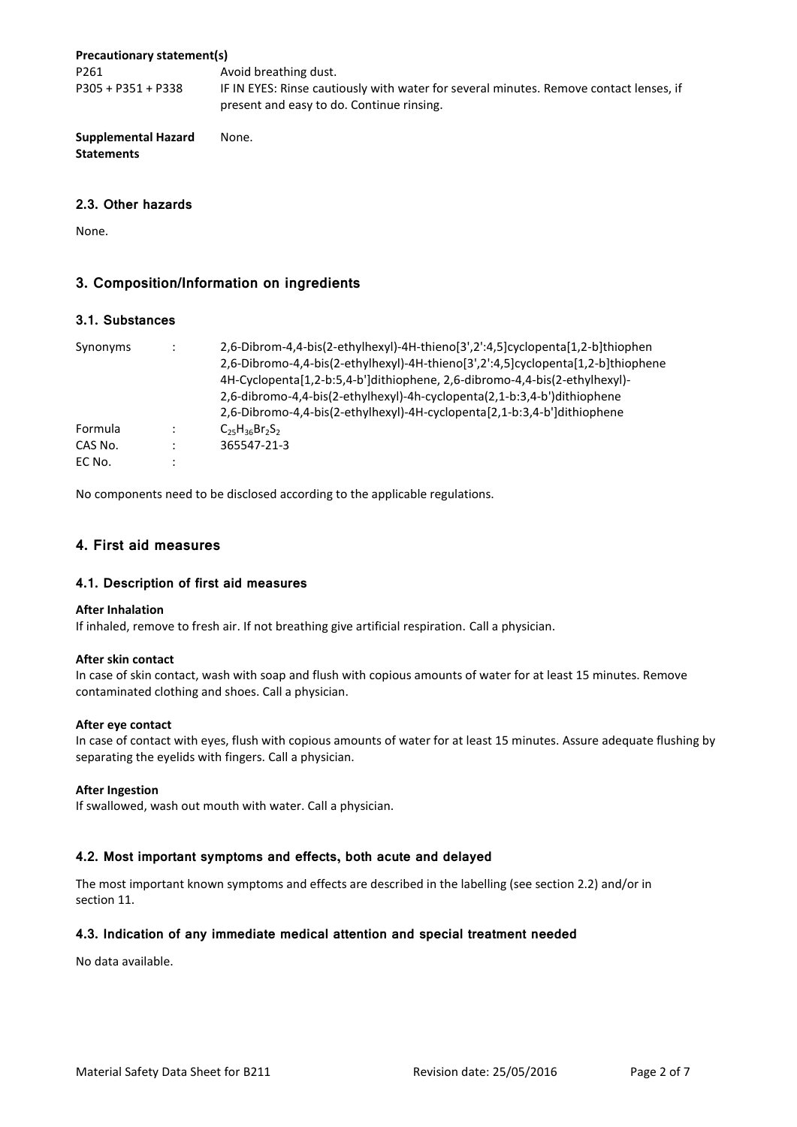#### **Precautionary statement(s)**

P261 **Avoid breathing dust.** P305 + P351 + P338 IF IN EYES: Rinse cautiously with water for several minutes. Remove contact lenses, if present and easy to do. Continue rinsing.

**Supplemental Hazard None. Statements**

#### **2.3. Other hazards**

None.

# **3. Composition/Information on ingredients**

## **3.1. Substances**

| Synonyms |                      | 2,6-Dibrom-4,4-bis(2-ethylhexyl)-4H-thieno[3',2':4,5]cyclopenta[1,2-b]thiophen<br>2,6-Dibromo-4,4-bis(2-ethylhexyl)-4H-thieno[3',2':4,5]cyclopenta[1,2-b]thiophene<br>4H-Cyclopenta[1,2-b:5,4-b']dithiophene, 2,6-dibromo-4,4-bis(2-ethylhexyl)-<br>2,6-dibromo-4,4-bis(2-ethylhexyl)-4h-cyclopenta(2,1-b:3,4-b')dithiophene<br>2,6-Dibromo-4,4-bis(2-ethylhexyl)-4H-cyclopenta[2,1-b:3,4-b']dithiophene |
|----------|----------------------|----------------------------------------------------------------------------------------------------------------------------------------------------------------------------------------------------------------------------------------------------------------------------------------------------------------------------------------------------------------------------------------------------------|
| Formula  | $\ddot{\phantom{a}}$ | $C_{25}H_{36}Br_2S_2$                                                                                                                                                                                                                                                                                                                                                                                    |
| CAS No.  | ٠                    | 365547-21-3                                                                                                                                                                                                                                                                                                                                                                                              |
| EC No.   | ٠                    |                                                                                                                                                                                                                                                                                                                                                                                                          |

No components need to be disclosed according to the applicable regulations.

# **4. First aid measures**

#### **4.1. Description of first aid measures**

#### **After Inhalation**

If inhaled, remove to fresh air. If not breathing give artificial respiration. Call a physician.

#### **After skin contact**

In case of skin contact, wash with soap and flush with copious amounts of water for at least 15 minutes. Remove contaminated clothing and shoes. Call a physician.

#### **After eye contact**

In case of contact with eyes, flush with copious amounts of water for at least 15 minutes. Assure adequate flushing by separating the eyelids with fingers. Call a physician.

#### **After Ingestion**

If swallowed, wash out mouth with water. Call a physician.

## **4.2. Most important symptoms and effects, both acute and delayed**

The most important known symptoms and effects are described in the labelling (see section 2.2) and/or in section 11.

## **4.3. Indication of any immediate medical attention and special treatment needed**

No data available.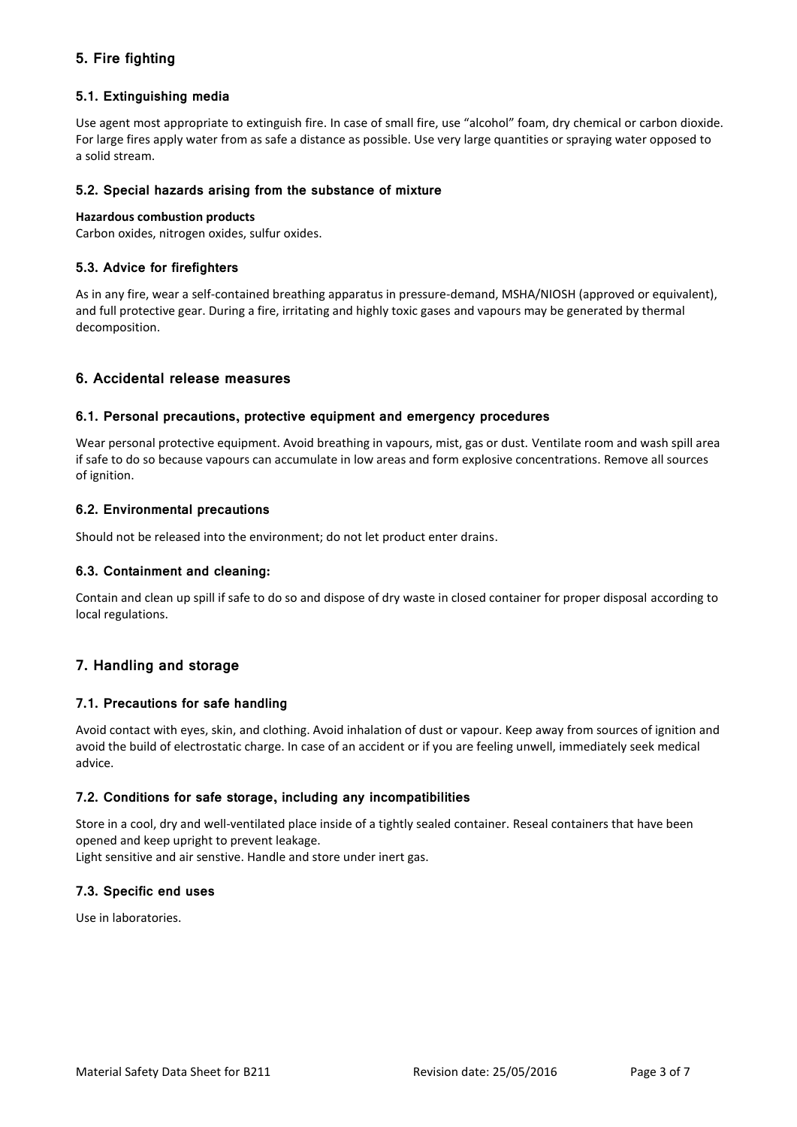# **5. Fire fighting**

# **5.1. Extinguishing media**

Use agent most appropriate to extinguish fire. In case of small fire, use "alcohol" foam, dry chemical or carbon dioxide. For large fires apply water from as safe a distance as possible. Use very large quantities or spraying water opposed to a solid stream.

# **5.2. Special hazards arising from the substance of mixture**

## **Hazardous combustion products**

Carbon oxides, nitrogen oxides, sulfur oxides.

# **5.3. Advice for firefighters**

As in any fire, wear a self-contained breathing apparatus in pressure-demand, MSHA/NIOSH (approved or equivalent), and full protective gear. During a fire, irritating and highly toxic gases and vapours may be generated by thermal decomposition.

# **6. Accidental release measures**

## **6.1. Personal precautions, protective equipment and emergency procedures**

Wear personal protective equipment. Avoid breathing in vapours, mist, gas or dust. Ventilate room and wash spill area if safe to do so because vapours can accumulate in low areas and form explosive concentrations. Remove all sources of ignition.

# **6.2. Environmental precautions**

Should not be released into the environment; do not let product enter drains.

# **6.3. Containment and cleaning:**

Contain and clean up spill if safe to do so and dispose of dry waste in closed container for proper disposal according to local regulations.

# **7. Handling and storage**

## **7.1. Precautions for safe handling**

Avoid contact with eyes, skin, and clothing. Avoid inhalation of dust or vapour. Keep away from sources of ignition and avoid the build of electrostatic charge. In case of an accident or if you are feeling unwell, immediately seek medical advice.

## **7.2. Conditions for safe storage, including any incompatibilities**

Store in a cool, dry and well-ventilated place inside of a tightly sealed container. Reseal containers that have been opened and keep upright to prevent leakage.

Light sensitive and air senstive. Handle and store under inert gas.

## **7.3. Specific end uses**

Use in laboratories.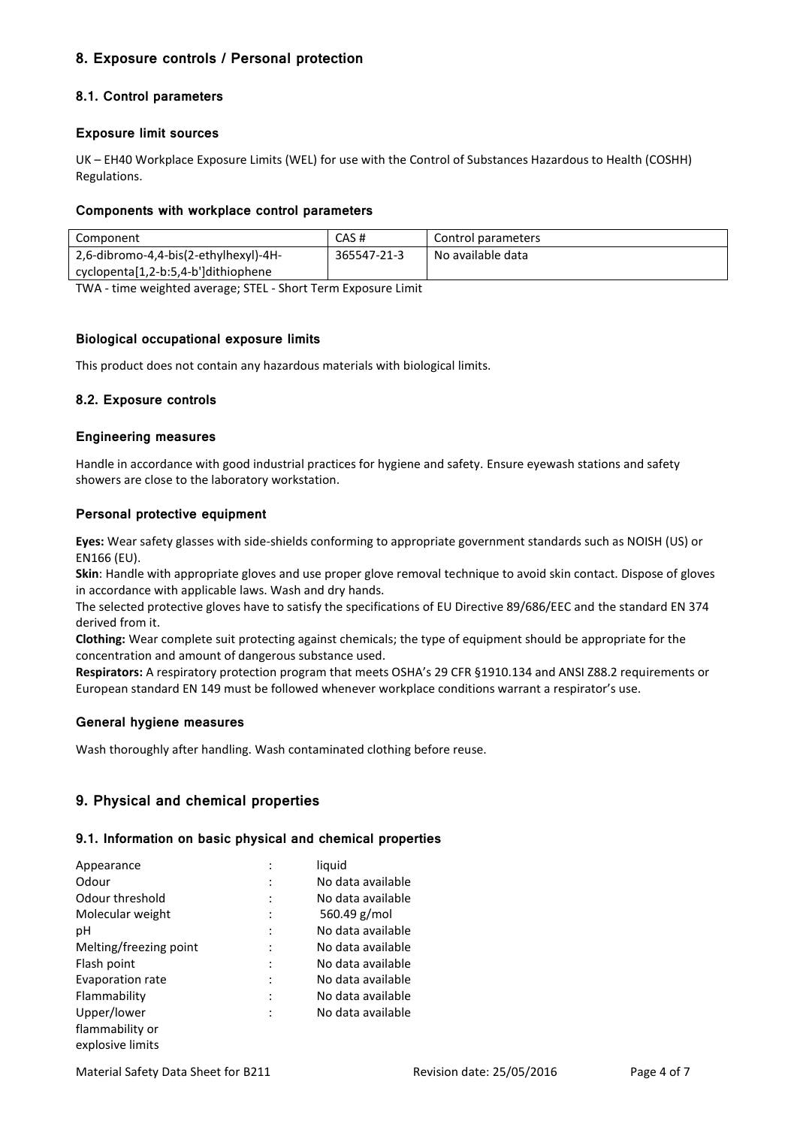# **8. Exposure controls / Personal protection**

# **8.1. Control parameters**

#### **Exposure limit sources**

UK – EH40 Workplace Exposure Limits (WEL) for use with the Control of Substances Hazardous to Health (COSHH) Regulations.

#### **Components with workplace control parameters**

| Component                             | CAS#        | Control parameters |
|---------------------------------------|-------------|--------------------|
| 2,6-dibromo-4,4-bis(2-ethylhexyl)-4H- | 365547-21-3 | No available data  |
| cyclopenta[1,2-b:5,4-b']dithiophene   |             |                    |

TWA - time weighted average; STEL - Short Term Exposure Limit

## **Biological occupational exposure limits**

This product does not contain any hazardous materials with biological limits.

## **8.2. Exposure controls**

## **Engineering measures**

Handle in accordance with good industrial practices for hygiene and safety. Ensure eyewash stations and safety showers are close to the laboratory workstation.

#### **Personal protective equipment**

**Eyes:** Wear safety glasses with side-shields conforming to appropriate government standards such as NOISH (US) or EN166 (EU).

**Skin**: Handle with appropriate gloves and use proper glove removal technique to avoid skin contact. Dispose of gloves in accordance with applicable laws. Wash and dry hands.

The selected protective gloves have to satisfy the specifications of EU Directive 89/686/EEC and the standard EN 374 derived from it.

**Clothing:** Wear complete suit protecting against chemicals; the type of equipment should be appropriate for the concentration and amount of dangerous substance used.

**Respirators:** A respiratory protection program that meets OSHA's 29 CFR §1910.134 and ANSI Z88.2 requirements or European standard EN 149 must be followed whenever workplace conditions warrant a respirator's use.

# **General hygiene measures**

Wash thoroughly after handling. Wash contaminated clothing before reuse.

# **9. Physical and chemical properties**

## **9.1. Information on basic physical and chemical properties**

| Appearance             |                | liquid            |
|------------------------|----------------|-------------------|
| Odour                  |                | No data available |
| Odour threshold        |                | No data available |
| Molecular weight       | $\ddot{\cdot}$ | 560.49 g/mol      |
| рH                     |                | No data available |
| Melting/freezing point |                | No data available |
| Flash point            |                | No data available |
| Evaporation rate       |                | No data available |
| Flammability           | $\ddot{\cdot}$ | No data available |
| Upper/lower            |                | No data available |
| flammability or        |                |                   |
| explosive limits       |                |                   |

Material Safety Data Sheet for B211 Revision date: 25/05/2016 Page 4 of 7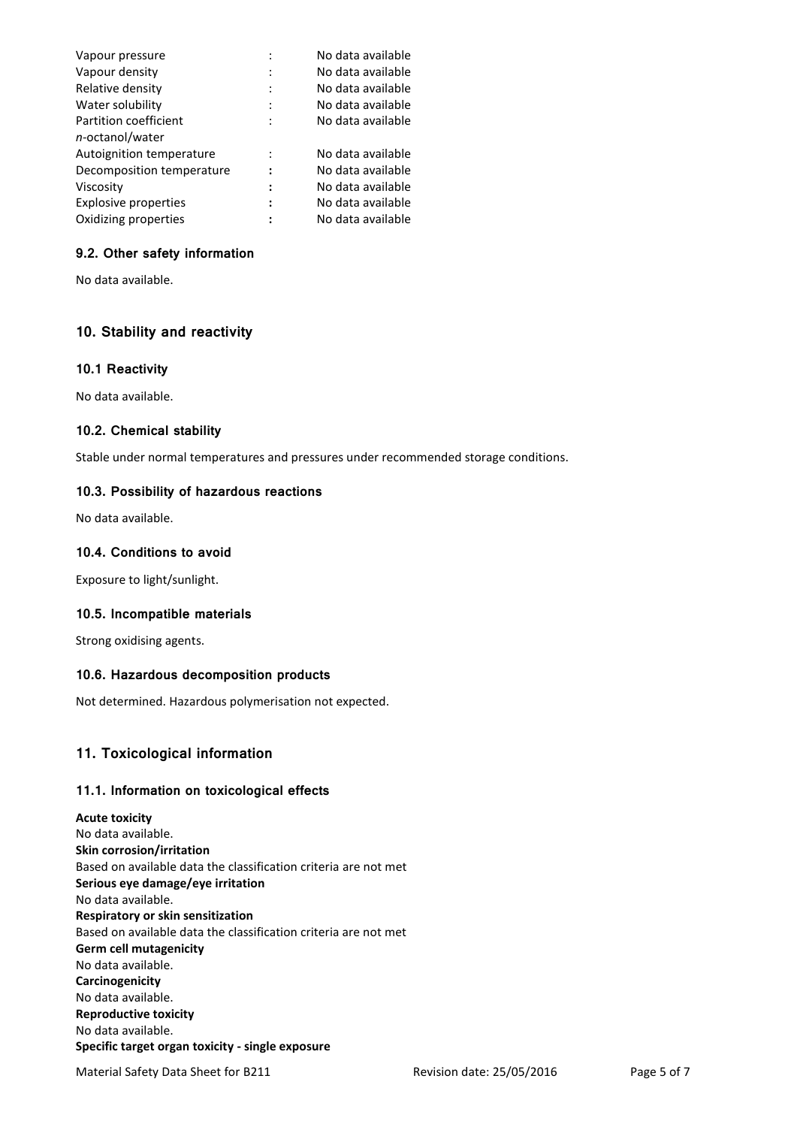| Vapour pressure             |   | No data available |
|-----------------------------|---|-------------------|
| Vapour density              |   | No data available |
| Relative density            |   | No data available |
| Water solubility            |   | No data available |
| Partition coefficient       |   | No data available |
| n-octanol/water             |   |                   |
| Autoignition temperature    |   | No data available |
| Decomposition temperature   |   | No data available |
| Viscosity                   |   | No data available |
| <b>Explosive properties</b> | : | No data available |
| Oxidizing properties        |   | No data available |
|                             |   |                   |

# **9.2. Other safety information**

No data available.

# **10. Stability and reactivity**

#### **10.1 Reactivity**

No data available.

# **10.2. Chemical stability**

Stable under normal temperatures and pressures under recommended storage conditions.

#### **10.3. Possibility of hazardous reactions**

No data available.

#### **10.4. Conditions to avoid**

Exposure to light/sunlight.

#### **10.5. Incompatible materials**

Strong oxidising agents.

#### **10.6. Hazardous decomposition products**

Not determined. Hazardous polymerisation not expected.

# **11. Toxicological information**

#### **11.1. Information on toxicological effects**

**Acute toxicity** No data available. **Skin corrosion/irritation** Based on available data the classification criteria are not met **Serious eye damage/eye irritation** No data available. **Respiratory or skin sensitization** Based on available data the classification criteria are not met **Germ cell mutagenicity** No data available. **Carcinogenicity** No data available. **Reproductive toxicity** No data available. **Specific target organ toxicity - single exposure**

Material Safety Data Sheet for B211 Revision date: 25/05/2016 Page 5 of 7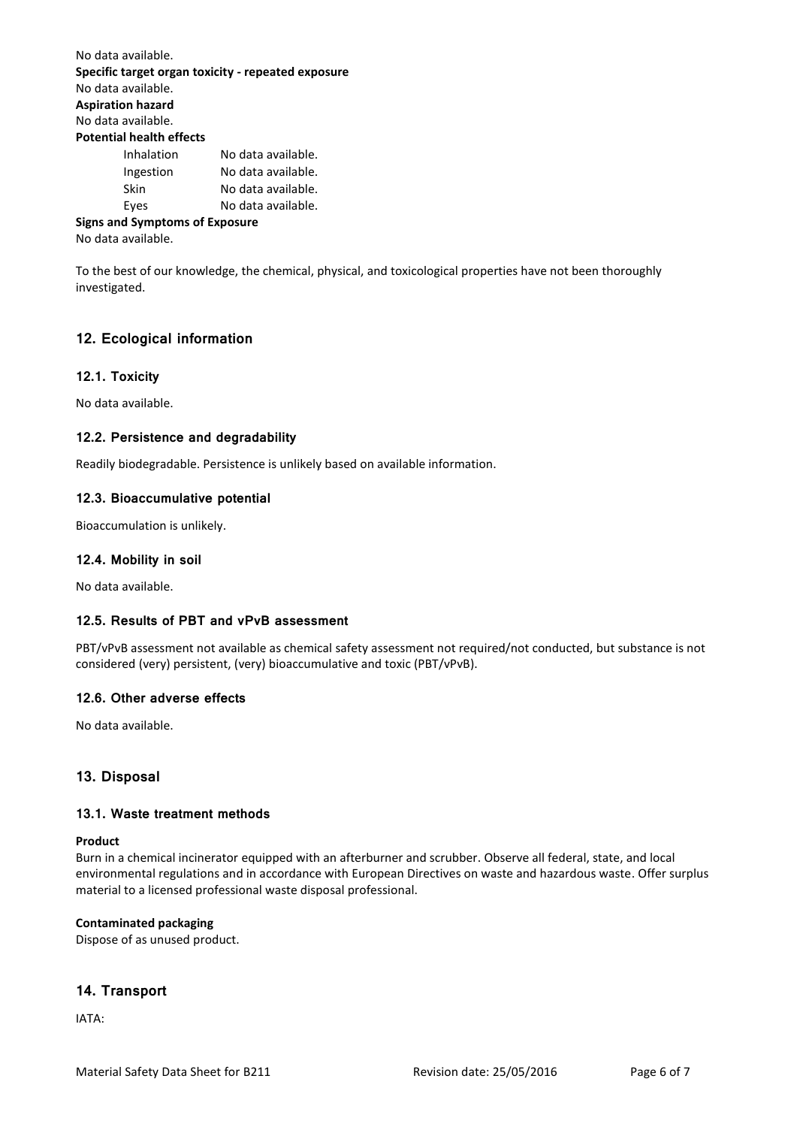No data available. **Specific target organ toxicity - repeated exposure** No data available. **Aspiration hazard** No data available. **Potential health effects** Inhalation No data available. Ingestion No data available. Skin No data available. Eyes No data available. **Signs and Symptoms of Exposure**

No data available.

To the best of our knowledge, the chemical, physical, and toxicological properties have not been thoroughly investigated.

# **12. Ecological information**

## **12.1. Toxicity**

No data available.

# **12.2. Persistence and degradability**

Readily biodegradable. Persistence is unlikely based on available information.

## **12.3. Bioaccumulative potential**

Bioaccumulation is unlikely.

## **12.4. Mobility in soil**

No data available.

## **12.5. Results of PBT and vPvB assessment**

PBT/vPvB assessment not available as chemical safety assessment not required/not conducted, but substance is not considered (very) persistent, (very) bioaccumulative and toxic (PBT/vPvB).

## **12.6. Other adverse effects**

No data available.

# **13. Disposal**

## **13.1. Waste treatment methods**

#### **Product**

Burn in a chemical incinerator equipped with an afterburner and scrubber. Observe all federal, state, and local environmental regulations and in accordance with European Directives on waste and hazardous waste. Offer surplus material to a licensed professional waste disposal professional.

## **Contaminated packaging**

Dispose of as unused product.

# **14. Transport**

IATA: